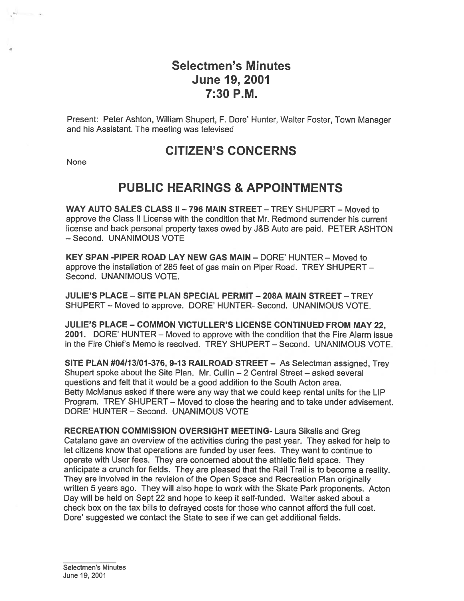# Selectmen's Minutes June 19, 2001 7:30 P.M.

Present: Peter Ashton, William Shupert, F. Dore' Hunter, Walter Foster, Town Manager and his Assistant. The meeting was televised

# CITIZEN'S CONCERNS

**None** 

بور باستنتائي الأفي

# PUBLIC HEARINGS & APPOINTMENTS

WAY AUTO SALES CLASS II - 796 MAIN STREET - TREY SHUPERT - Moved to approve the Class II License with the condition that Mr. Redmond surrender his current license and back personal property taxes owed by J&B Auto are paid. PETER ASHTON — Second. UNANIMOUS VOTE

KEY SPAN -PIPER ROAD LAY NEW GAS MAIN — DORE' HUNTER — Moved to approve the installation of 285 feet of gas main on Piper Road. TREY SHUPERT — Second. UNANIMOUS VOTE.

JULIE'S PLACE — SITE PLAN SPECIAL PERMIT — 208A MAIN STREET — TREY SHUPERT— Moved to approve. DORE' HUNTER- Second. UNANIMOUS VOTE.

JULIE'S PLACE — COMMON VICTULLER'S LICENSE CONTINUED FROM MAY 22, 2001. DORE' HUNTER — Moved to approve with the condition that the Fire Alarm issue in the Fire Chiefs Memo is resolved. TREY SHUPERT — Second. UNANIMOUS VOTE.

SITE PLAN #04113101-376, 9-13 RAILROAD STREET — As Selectman assigned, Trey Shupert spoke about the Site Plan. Mr. Cullin — 2 Central Street — asked several questions and felt that it would be <sup>a</sup> good addition to the South Acton area. Betty McManus asked if there were any way that we could keep rental units for the LIP Program. TREY SHUPERT — Moved to close the hearing and to take under advisement. DORE' HUNTER — Second. UNANIMOUS VOTE

RECREATION COMMISSION OVERSIGHT MEETING- Laura Sikalis and Greg Catalano gave an overview of the activities during the pas<sup>t</sup> year. They asked for help to let citizens know that operations are funded by user fees. They want to continue to operate with User fees. They are concerned about the athletic field space. They anticipate <sup>a</sup> crunch for fields. They are pleased that the Rail Trail is to become <sup>a</sup> reality. They are involved in the revision of the Open Space and Recreation Plan originally written 5 years ago. They will also hope to work with the Skate Park proponents. Acton Day will be held on Sept 22 and hope to keep it self-funded. Walter asked about <sup>a</sup> check box on the tax bills to defrayed costs for those who cannot afford the full cost. Dore' suggested we contact the State to see if we can ge<sup>t</sup> additional fields.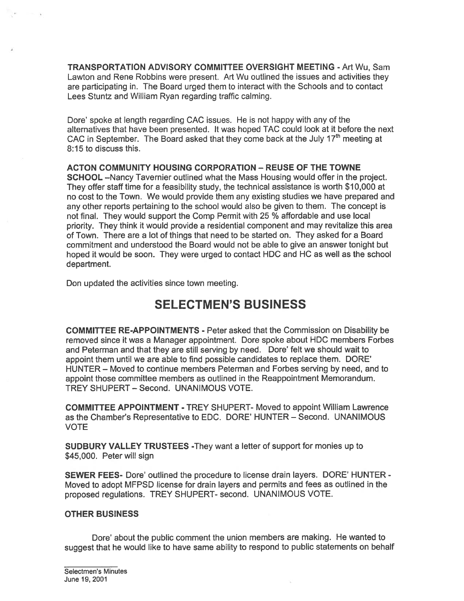TRANSPORTATION ADVISORY COMMITTEE OVERSIGHT MEETING - Art Wu, Sam Lawton and Rene Robbins were present. Art Wu outlined the issues and activities they are participating in. The Board urged them to interact with the Schools and to contact Lees Stuntz and William Ryan regarding traffic calming.

Dore' spoke at length regarding CAC issues. He is not happy with any of the alternatives that have been presented. It was hoped TAC could look at it before the next CAC in September. The Board asked that they come back at the July  $17<sup>th</sup>$  meeting at 8:15 to discuss this.

ACTON COMMUNITY HOUSING CORPORATION - REUSE OF THE TOWNE SCHOOL —Nancy Tavernier outlined what the Mass Housing would offer in the project. They offer staff time for <sup>a</sup> feasibility study, the technical assistance is worth \$10,000 at no cost to the Town. We would provide them any existing studies we have prepared and any other reports pertaining to the school would also be given to them. The concep<sup>t</sup> is not final. They would suppor<sup>t</sup> the Comp Permit with 25 % affordable and use local priority. They think it would provide <sup>a</sup> residential componen<sup>t</sup> and may revitalize this area of Town. There are <sup>a</sup> lot of things that need to be started on. They asked for <sup>a</sup> Board commitment and understood the Board would not be able to give an answer tonight but hoped it would be soon. They were urged to contact HDC and HC as well as the school department.

Don updated the activities since town meeting.

# SELECTMEN'S BUSINESS

COMMITTEE RE-APPOINTMENTS - Peter asked that the Commission on Disability be removed since it was <sup>a</sup> Manager appointment. Dore spoke about HDC members Forbes and Peterman and that they are still serving by need. Dore' felt we should wait to appoint them until we are able to find possible candidates to replace them. DORE' HUNTER — Moved to continue members Peterman and Forbes serving by need, and to appoint those committee members as outlined in the Reappointment Memorandum. TREY SHUPERT — Second. UNANIMOUS VOTE.

COMMITTEE APPOINTMENT - TREY SHUPERT- Moved to appoint William Lawrence as the Chamber's Representative to EDC. DORE' HUNTER — Second. UNANIMOUS VOTE

SUDBURY VALLEY TRUSTEES -They want <sup>a</sup> letter of suppor<sup>t</sup> for monies up to \$45,000. Peter will sign

SEWER FEES- Dore' outlined the procedure to license drain layers. DORE' HUNTER - Moved to adopt MFPSD license for drain layers and permits and fees as outlined in the proposed regulations. TREY SHUPERT- second. UNANIMOUS VOTE.

## OTHER BUSINESS

Dore' about the public comment the union members are making. He wanted to sugges<sup>t</sup> that he would like to have same ability to respond to public statements on behalf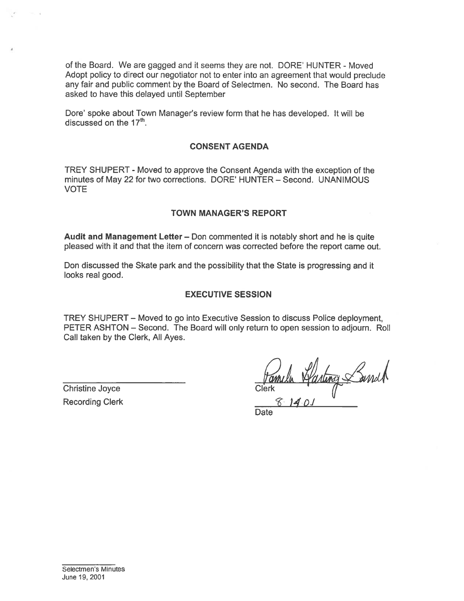of the Board. We are gagged and it seems they are not. DORE' HUNTER - Moved Adopt policy to direct our negotiator not to enter into an agreemen<sup>t</sup> that would preclude any fair and public comment by the Board of Selectmen. No second. The Board has asked to have this delayed until September

Dore' spoke about Town Manager's review form that he has developed. It will be discussed on the  $17<sup>th</sup>$ .

#### CONSENT AGENDA

TREY SHUPERT -Moved to approve the Consent Agenda with the exception of the minutes of May 22 for two corrections. DORE' HUNTER — Second. UNANIMOUS VOTE

#### TOWN MANAGER'S REPORT

Audit and Management Letter — Don commented it is notably short and he is quite pleased with it and that the item of concern was corrected before the repor<sup>t</sup> came out.

Don discussed the Skate park and the possibility that the State is progressing and it looks real good.

#### EXECUTIVE SESSION

TREY SHUPERT — Moved to go into Executive Session to discuss Police deployment, PETER ASHTON — Second. The Board will only return to open session to adjourn. Roll Call taken by the Clerk, All Ayes.

Christine Joyce Recording Clerk

 $C$ lerk  $(1, 1, 0, 1)$  $8.140$ 

Date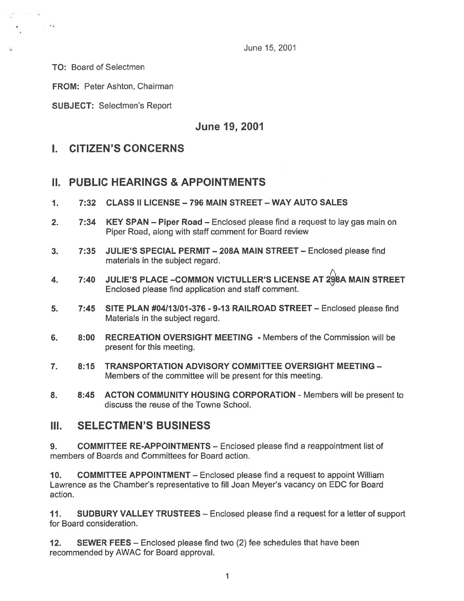June 15, 2001

TO: Board of Selectmen

 $\sim$   $-$ 

FROM: Peter Ashton, Chairman

SUBJECT: Selectmen's Report

June 19, 2001

# I. CITIZEN'S CONCERNS

## II. PUBLIC HEARINGS & APPOINTMENTS

- 1. 7:32 CLASS II LICENSE —796 MAIN STREET WAY AUTO SALES
- 2. 7:34 KEY SPAN Piper Road Enclosed please find a request to lay gas main on Piper Road, along with staff comment for Board review
- 3. 7:35 JULIE'S SPECIAL PERMIT 208A MAIN STREET Enclosed please find materials in the subject regard.
- 4.  $\,$  7:40  $\,$  JULIE'S PLACE –COMMON VICTULLER'S LICENSE AT  $298$ A MAIN STREET Enclosed please find application and staff comment.
- 5. 7:45 SITE PLAN #04113101-376 9-13 RAILROAD STREET Enclosed please find Materials in the subject regard.
- 6. 8:00 RECREATION OVERSIGHT MEETING Members of the Commission will be presen<sup>t</sup> for this meeting.
- 7. 8:15 TRANSPORTATION ADVISORY COMMITTEE OVERSIGHT MEETING Members of the committee will be presen<sup>t</sup> for this meeting.
- 8. 8:45 ACTON COMMUNITY HOUSING CORPORATION Members will be presen<sup>t</sup> to discuss the reuse of the Towne School.

## III. SELECTMEN'S BUSINESS

9. COMMITTEE RE-APPOINTMENTS — Enclosed please find <sup>a</sup> reappointment list of members of Boards and Committees for Board action.

10. COMMITTEE APPOINTMENT — Enclosed please find <sup>a</sup> reques<sup>t</sup> to appoint William Lawrence as the Chamber's representative to fill Joan Meyer's vacancy on EDC for Board action.

11. SUDBURY VALLEY TRUSTEES — Enclosed please find <sup>a</sup> reques<sup>t</sup> for <sup>a</sup> letter of suppor<sup>t</sup> for Board consideration.

12. SEWER FEES — Enclosed please find two (2) fee schedules that have been recommended by AWAC for Board approval.